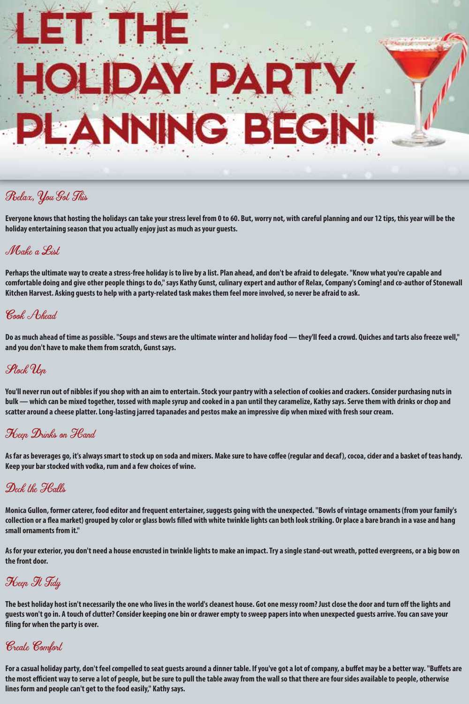

## Relax, You Got This

**Everyone knows that hosting the holidays can take your stress level from 0 to 60. But, worry not, with careful planning and our 12 tips, this year will be the holiday entertaining season that you actually enjoy just as much as your guests.**

### Make a List

**Perhaps the ultimate way to create a stress-free holiday is to live by a list. Plan ahead, and don't be afraid to delegate. "Know what you're capable and comfortable doing and give other people things to do," says Kathy Gunst, culinary expert and author of Relax, Company's Coming! and co-author of Stonewall Kitchen Harvest. Asking guests to help with a party-related task makes them feel more involved, so never be afraid to ask.**

### Cook Ahead

**Do as much ahead of time as possible. "Soups and stews are the ultimate winter and holiday food — they'll feed a crowd. Quiches and tarts also freeze well," and you don't have to make them from scratch, Gunst says.**

### Stock Up

**You'll never run out of nibbles if you shop with an aim to entertain. Stock your pantry with a selection of cookies and crackers. Consider purchasing nuts in bulk — which can be mixed together, tossed with maple syrup and cooked in a pan until they caramelize, Kathy says. Serve them with drinks or chop and scatter around a cheese platter. Long-lasting jarred tapanades and pestos make an impressive dip when mixed with fresh sour cream.**

### Heen Drinks on Hand

As far as beverages go, it's always smart to stock up on soda and mixers. Make sure to have coffee (regular and decaf), cocoa, cider and a basket of teas handy. **Keep your bar stocked with vodka, rum and a few choices of wine.**

## Deck the Halls

**Monica Gullon, former caterer, food editor and frequent entertainer, suggests going with the unexpected. "Bowls of vintage ornaments (from your family's**  collection or a flea market) grouped by color or glass bowls filled with white twinkle lights can both look striking. Or place a bare branch in a vase and hang **small ornaments from it."**

**As for your exterior, you don't need a house encrusted in twinkle lights to make an impact. Try a single stand-out wreath, potted evergreens, or a big bow on the front door.**

Heep It Tidy

The best holiday host isn't necessarily the one who lives in the world's cleanest house. Got one messy room? Just close the door and turn off the lights and **guests won't go in. A touch of clutter? Consider keeping one bin or drawer empty to sweep papers into when unexpected guests arrive. You can save your ling for when the party is over.**

## Create Comfort

For a casual holiday party, don't feel compelled to seat quests around a dinner table. If you've got a lot of company, a buffet may be a better way. "Buffets are **the most ecient way to serve a lot of people, but be sure to pull the table away from the wall so that there are four sides available to people, otherwise lines form and people can't get to the food easily," Kathy says.**